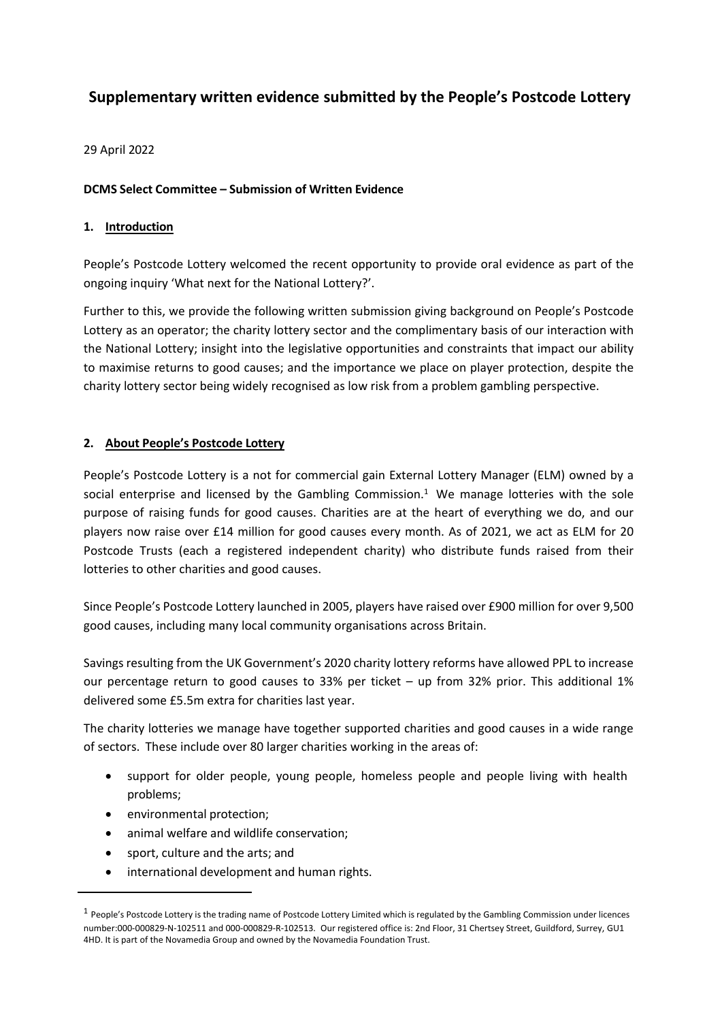# **Supplementary written evidence submitted by the People's Postcode Lottery**

29 April 2022

### **DCMS Select Committee – Submission of Written Evidence**

#### **1. Introduction**

People's Postcode Lottery welcomed the recent opportunity to provide oral evidence as part of the ongoing inquiry 'What next for the National Lottery?'.

Further to this, we provide the following written submission giving background on People's Postcode Lottery as an operator; the charity lottery sector and the complimentary basis of our interaction with the National Lottery; insight into the legislative opportunities and constraints that impact our ability to maximise returns to good causes; and the importance we place on player protection, despite the charity lottery sector being widely recognised as low risk from a problem gambling perspective.

### **2. About People's Postcode Lottery**

People's Postcode Lottery is a not for commercial gain External Lottery Manager (ELM) owned by a social enterprise and licensed by the Gambling Commission.<sup>1</sup> We manage lotteries with the sole purpose of raising funds for good causes. Charities are at the heart of everything we do, and our players now raise over £14 million for good causes every month. As of 2021, we act as ELM for 20 Postcode Trusts (each a registered independent charity) who distribute funds raised from their lotteries to other charities and good causes.

Since People's Postcode Lottery launched in 2005, players have raised over £900 million for over 9,500 good causes, including many local community organisations across Britain.

Savings resulting from the UK Government's 2020 charity lottery reforms have allowed PPL to increase our percentage return to good causes to 33% per ticket – up from 32% prior. This additional 1% delivered some £5.5m extra for charities last year.

The charity lotteries we manage have together supported charities and good causes in a wide range of sectors. These include over 80 larger charities working in the areas of:

- support for older people, young people, homeless people and people living with health problems;
- environmental protection;
- animal welfare and wildlife conservation;
- sport, culture and the arts; and
- international development and human rights.

 $1$  People's Postcode Lottery is the trading name of Postcode Lottery Limited which is regulated by the Gambling Commission under licences number:000-000829-N-102511 and 000-000829-R-102513. Our registered office is: 2nd Floor, 31 Chertsey Street, Guildford, Surrey, GU1 4HD. It is part of the Novamedia Group and owned by the Novamedia Foundation Trust.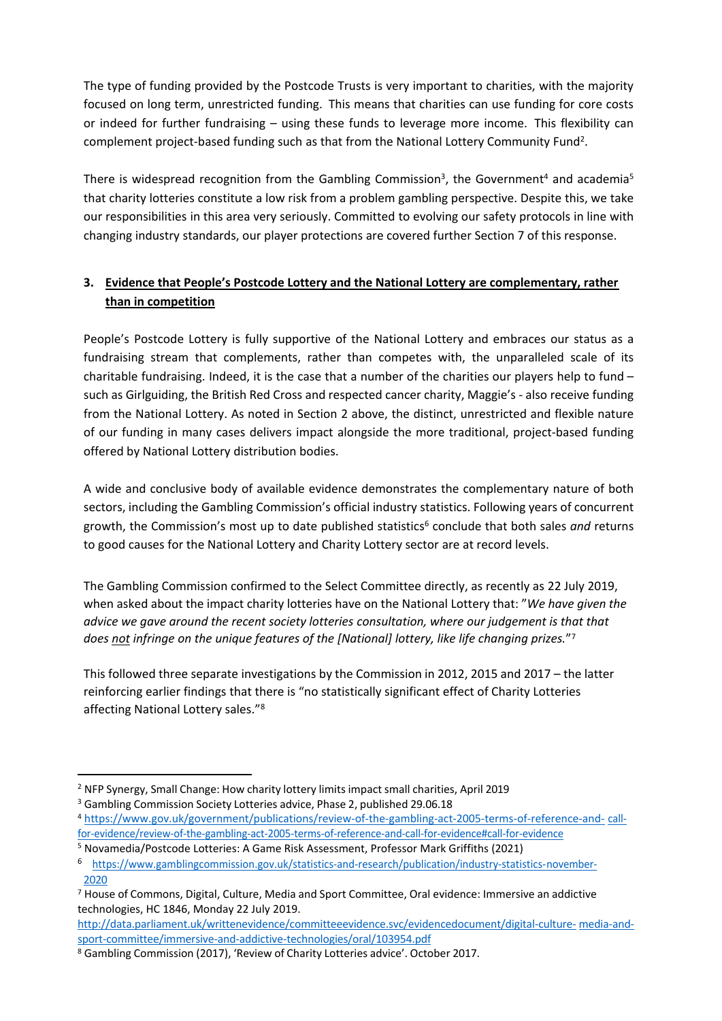The type of funding provided by the Postcode Trusts is very important to charities, with the majority focused on long term, unrestricted funding. This means that charities can use funding for core costs or indeed for further fundraising – using these funds to leverage more income. This flexibility can complement project-based funding such as that from the National Lottery Community Fund<sup>2</sup>.

There is widespread recognition from the Gambling Commission<sup>3</sup>, the Government<sup>4</sup> and academia<sup>5</sup> that charity lotteries constitute a low risk from a problem gambling perspective. Despite this, we take our responsibilities in this area very seriously. Committed to evolving our safety protocols in line with changing industry standards, our player protections are covered further Section 7 of this response.

## **3. Evidence that People's Postcode Lottery and the National Lottery are complementary, rather than in competition**

People's Postcode Lottery is fully supportive of the National Lottery and embraces our status as a fundraising stream that complements, rather than competes with, the unparalleled scale of its charitable fundraising. Indeed, it is the case that a number of the charities our players help to fund – such as Girlguiding, the British Red Cross and respected cancer charity, Maggie's - also receive funding from the National Lottery. As noted in Section 2 above, the distinct, unrestricted and flexible nature of our funding in many cases delivers impact alongside the more traditional, project-based funding offered by National Lottery distribution bodies.

A wide and conclusive body of available evidence demonstrates the complementary nature of both sectors, including the Gambling Commission's official industry statistics. Following years of concurrent growth, the Commission's most up to date published statistics<sup>6</sup> conclude that both sales *and* returns to good causes for the National Lottery and Charity Lottery sector are at record levels.

The Gambling Commission confirmed to the Select Committee directly, as recently as 22 July 2019, when asked about the impact charity lotteries have on the National Lottery that: "*We have given the advice we gave around the recent society lotteries consultation, where our judgement is that that does not infringe on the unique features of the [National] lottery, like life changing prizes.*" 7

This followed three separate investigations by the Commission in 2012, 2015 and 2017 – the latter reinforcing earlier findings that there is "no statistically significant effect of Charity Lotteries affecting National Lottery sales."<sup>8</sup>

<sup>2</sup> NFP Synergy, Small Change: How charity lottery limits impact small charities, April 2019

<sup>&</sup>lt;sup>3</sup> Gambling Commission Society Lotteries advice, Phase 2, published 29.06.18

<sup>4</sup> [https://www.gov.uk/government/publications/review-of-the-gambling-act-2005-terms-of-reference-and-](https://www.gov.uk/government/publications/review-of-the-gambling-act-2005-terms-of-reference-and-call-for-evidence/review-of-the-gambling-act-2005-terms-of-reference-and-call-for-evidence#call-for-evidence) cal[l](https://www.gov.uk/government/publications/review-of-the-gambling-act-2005-terms-of-reference-and-call-for-evidence/review-of-the-gambling-act-2005-terms-of-reference-and-call-for-evidence#call-for-evidence)fo[r-e](https://www.gov.uk/government/publications/review-of-the-gambling-act-2005-terms-of-reference-and-call-for-evidence/review-of-the-gambling-act-2005-terms-of-reference-and-call-for-evidence#call-for-evidence)vidence[/](https://www.gov.uk/government/publications/review-of-the-gambling-act-2005-terms-of-reference-and-call-for-evidence/review-of-the-gambling-act-2005-terms-of-reference-and-call-for-evidence#call-for-evidence)review[-](https://www.gov.uk/government/publications/review-of-the-gambling-act-2005-terms-of-reference-and-call-for-evidence/review-of-the-gambling-act-2005-terms-of-reference-and-call-for-evidence#call-for-evidence)o[f-t](https://www.gov.uk/government/publications/review-of-the-gambling-act-2005-terms-of-reference-and-call-for-evidence/review-of-the-gambling-act-2005-terms-of-reference-and-call-for-evidence#call-for-evidence)h[e-](https://www.gov.uk/government/publications/review-of-the-gambling-act-2005-terms-of-reference-and-call-for-evidence/review-of-the-gambling-act-2005-terms-of-reference-and-call-for-evidence#call-for-evidence)gamblin[g-a](https://www.gov.uk/government/publications/review-of-the-gambling-act-2005-terms-of-reference-and-call-for-evidence/review-of-the-gambling-act-2005-terms-of-reference-and-call-for-evidence#call-for-evidence)c[t-2](https://www.gov.uk/government/publications/review-of-the-gambling-act-2005-terms-of-reference-and-call-for-evidence/review-of-the-gambling-act-2005-terms-of-reference-and-call-for-evidence#call-for-evidence)005[-t](https://www.gov.uk/government/publications/review-of-the-gambling-act-2005-terms-of-reference-and-call-for-evidence/review-of-the-gambling-act-2005-terms-of-reference-and-call-for-evidence#call-for-evidence)erms[-](https://www.gov.uk/government/publications/review-of-the-gambling-act-2005-terms-of-reference-and-call-for-evidence/review-of-the-gambling-act-2005-terms-of-reference-and-call-for-evidence#call-for-evidence)o[f-](https://www.gov.uk/government/publications/review-of-the-gambling-act-2005-terms-of-reference-and-call-for-evidence/review-of-the-gambling-act-2005-terms-of-reference-and-call-for-evidence#call-for-evidence)reference[-](https://www.gov.uk/government/publications/review-of-the-gambling-act-2005-terms-of-reference-and-call-for-evidence/review-of-the-gambling-act-2005-terms-of-reference-and-call-for-evidence#call-for-evidence)and[-](https://www.gov.uk/government/publications/review-of-the-gambling-act-2005-terms-of-reference-and-call-for-evidence/review-of-the-gambling-act-2005-terms-of-reference-and-call-for-evidence#call-for-evidence)cal[l-f](https://www.gov.uk/government/publications/review-of-the-gambling-act-2005-terms-of-reference-and-call-for-evidence/review-of-the-gambling-act-2005-terms-of-reference-and-call-for-evidence#call-for-evidence)or[-](https://www.gov.uk/government/publications/review-of-the-gambling-act-2005-terms-of-reference-and-call-for-evidence/review-of-the-gambling-act-2005-terms-of-reference-and-call-for-evidence#call-for-evidence)evidenc[e#c](https://www.gov.uk/government/publications/review-of-the-gambling-act-2005-terms-of-reference-and-call-for-evidence/review-of-the-gambling-act-2005-terms-of-reference-and-call-for-evidence#call-for-evidence)al[l-](https://www.gov.uk/government/publications/review-of-the-gambling-act-2005-terms-of-reference-and-call-for-evidence/review-of-the-gambling-act-2005-terms-of-reference-and-call-for-evidence#call-for-evidence)fo[r-](https://www.gov.uk/government/publications/review-of-the-gambling-act-2005-terms-of-reference-and-call-for-evidence/review-of-the-gambling-act-2005-terms-of-reference-and-call-for-evidence#call-for-evidence)evidence

<sup>5</sup> Novamedia/Postcode Lotteries: A Game Risk Assessment, Professor Mark Griffiths (2021)

<sup>6</sup> [https://www.gamblingcommission.gov.uk/statistics-and-research/publication/industry-statis](https://www.gamblingcommission.gov.uk/statistics-and-research/publication/industry-statistics-november-2020)tics-november[-](https://www.gamblingcommission.gov.uk/statistics-and-research/publication/industry-statistics-november-2020)2020

<sup>7</sup> House of Commons, Digital, Culture, Media and Sport Committee, Oral evidence: Immersive an addictive technologies, HC 1846, Monday 22 July 2019.

http://data[.](http://data.parliament.uk/writtenevidence/committeeevidence.svc/evidencedocument/digital-culture-media-and-sport-committee/immersive-and-addictive-technologies/oral/103954.pdf)parliament[.](http://data.parliament.uk/writtenevidence/committeeevidence.svc/evidencedocument/digital-culture-media-and-sport-committee/immersive-and-addictive-technologies/oral/103954.pdf)uk[/](http://data.parliament.uk/writtenevidence/committeeevidence.svc/evidencedocument/digital-culture-media-and-sport-committee/immersive-and-addictive-technologies/oral/103954.pdf)writteneviden[ce/c](http://data.parliament.uk/writtenevidence/committeeevidence.svc/evidencedocument/digital-culture-media-and-sport-committee/immersive-and-addictive-technologies/oral/103954.pdf)ommitteeevidenc[e.s](http://data.parliament.uk/writtenevidence/committeeevidence.svc/evidencedocument/digital-culture-media-and-sport-committee/immersive-and-addictive-technologies/oral/103954.pdf)v[c/e](http://data.parliament.uk/writtenevidence/committeeevidence.svc/evidencedocument/digital-culture-media-and-sport-committee/immersive-and-addictive-technologies/oral/103954.pdf)videncedocumen[t/d](http://data.parliament.uk/writtenevidence/committeeevidence.svc/evidencedocument/digital-culture-media-and-sport-committee/immersive-and-addictive-technologies/oral/103954.pdf)igita[l-](http://data.parliament.uk/writtenevidence/committeeevidence.svc/evidencedocument/digital-culture-media-and-sport-committee/immersive-and-addictive-technologies/oral/103954.pdf)cultur[e-](http://data.parliament.uk/writtenevidence/committeeevidence.svc/evidencedocument/digital-culture-media-and-sport-committee/immersive-and-addictive-technologies/oral/103954.pdf) medi[a-](http://data.parliament.uk/writtenevidence/committeeevidence.svc/evidencedocument/digital-culture-media-and-sport-committee/immersive-and-addictive-technologies/oral/103954.pdf)an[d](http://data.parliament.uk/writtenevidence/committeeevidence.svc/evidencedocument/digital-culture-media-and-sport-committee/immersive-and-addictive-technologies/oral/103954.pdf)sport[-c](http://data.parliament.uk/writtenevidence/committeeevidence.svc/evidencedocument/digital-culture-media-and-sport-committee/immersive-and-addictive-technologies/oral/103954.pdf)ommitte[e/](http://data.parliament.uk/writtenevidence/committeeevidence.svc/evidencedocument/digital-culture-media-and-sport-committee/immersive-and-addictive-technologies/oral/103954.pdf)immersive[-a](http://data.parliament.uk/writtenevidence/committeeevidence.svc/evidencedocument/digital-culture-media-and-sport-committee/immersive-and-addictive-technologies/oral/103954.pdf)nd[-](http://data.parliament.uk/writtenevidence/committeeevidence.svc/evidencedocument/digital-culture-media-and-sport-committee/immersive-and-addictive-technologies/oral/103954.pdf)addictive[-](http://data.parliament.uk/writtenevidence/committeeevidence.svc/evidencedocument/digital-culture-media-and-sport-committee/immersive-and-addictive-technologies/oral/103954.pdf)technologie[s/o](http://data.parliament.uk/writtenevidence/committeeevidence.svc/evidencedocument/digital-culture-media-and-sport-committee/immersive-and-addictive-technologies/oral/103954.pdf)ra[l/](http://data.parliament.uk/writtenevidence/committeeevidence.svc/evidencedocument/digital-culture-media-and-sport-committee/immersive-and-addictive-technologies/oral/103954.pdf)103954[.](http://data.parliament.uk/writtenevidence/committeeevidence.svc/evidencedocument/digital-culture-media-and-sport-committee/immersive-and-addictive-technologies/oral/103954.pdf)pdf

<sup>8</sup> Gambling Commission (2017), 'Review of Charity Lotteries advice'. October 2017.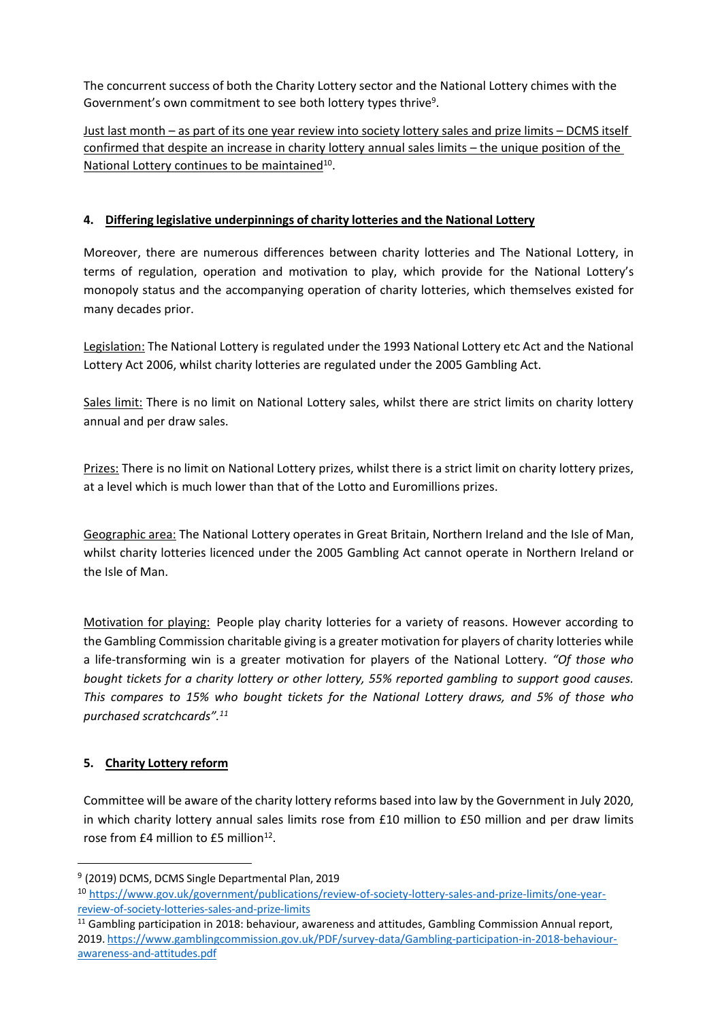The concurrent success of both the Charity Lottery sector and the National Lottery chimes with the Government's own commitment to see both lottery types thrive<sup>9</sup>.

Just last month – as part of its one year review into society lottery sales and prize limits – DCMS itself confirmed that despite an increase in charity lottery annual sales limits – the unique position of the National Lottery continues to be maintained<sup>10</sup>.

## **4. Differing legislative underpinnings of charity lotteries and the National Lottery**

Moreover, there are numerous differences between charity lotteries and The National Lottery, in terms of regulation, operation and motivation to play, which provide for the National Lottery's monopoly status and the accompanying operation of charity lotteries, which themselves existed for many decades prior.

Legislation: The National Lottery is regulated under the 1993 National Lottery etc Act and the National Lottery Act 2006, whilst charity lotteries are regulated under the 2005 Gambling Act.

Sales limit: There is no limit on National Lottery sales, whilst there are strict limits on charity lottery annual and per draw sales.

Prizes: There is no limit on National Lottery prizes, whilst there is a strict limit on charity lottery prizes, at a level which is much lower than that of the Lotto and Euromillions prizes.

Geographic area: The National Lottery operates in Great Britain, Northern Ireland and the Isle of Man, whilst charity lotteries licenced under the 2005 Gambling Act cannot operate in Northern Ireland or the Isle of Man.

Motivation for playing: People play charity lotteries for a variety of reasons. However according to the Gambling Commission charitable giving is a greater motivation for players of charity lotteries while a life-transforming win is a greater motivation for players of the National Lottery. *"Of those who bought tickets for a charity lottery or other lottery, 55% reported gambling to support good causes. This compares to 15% who bought tickets for the National Lottery draws, and 5% of those who purchased scratchcards".<sup>11</sup>*

### **5. Charity Lottery reform**

Committee will be aware of the charity lottery reforms based into law by the Government in July 2020, in which charity lottery annual sales limits rose from £10 million to £50 million and per draw limits rose from £4 million to £5 million<sup>12</sup>.

<sup>&</sup>lt;sup>9</sup> (2019) DCMS, DCMS Single Departmental Plan, 2019

<sup>10</sup> [https://www.gov.uk/government/publications/review-of-society-lottery-sales-and-prize-limits/one-year](https://www.gov.uk/government/publications/review-of-society-lottery-sales-and-prize-limits/one-year-review-of-society-lotteries-sales-and-prize-limits)review[-o](https://www.gov.uk/government/publications/review-of-society-lottery-sales-and-prize-limits/one-year-review-of-society-lotteries-sales-and-prize-limits)f[-s](https://www.gov.uk/government/publications/review-of-society-lottery-sales-and-prize-limits/one-year-review-of-society-lotteries-sales-and-prize-limits)ociety[-l](https://www.gov.uk/government/publications/review-of-society-lottery-sales-and-prize-limits/one-year-review-of-society-lotteries-sales-and-prize-limits)otteries[-s](https://www.gov.uk/government/publications/review-of-society-lottery-sales-and-prize-limits/one-year-review-of-society-lotteries-sales-and-prize-limits)ale[s-a](https://www.gov.uk/government/publications/review-of-society-lottery-sales-and-prize-limits/one-year-review-of-society-lotteries-sales-and-prize-limits)n[d-p](https://www.gov.uk/government/publications/review-of-society-lottery-sales-and-prize-limits/one-year-review-of-society-lotteries-sales-and-prize-limits)riz[e-](https://www.gov.uk/government/publications/review-of-society-lottery-sales-and-prize-limits/one-year-review-of-society-lotteries-sales-and-prize-limits)limits

<sup>&</sup>lt;sup>11</sup> Gambling participation in 2018: behaviour, awareness and attitudes, Gambling Commission Annual report, 2019. [https://www.gamblingcommission.gov.uk/PDF/survey-data/Gambling-participation-in-2018-behaviour](https://www.gamblingcommission.gov.uk/PDF/survey-data/Gambling-participation-in-2018-behaviour-awareness-and-attitudes.pdf)awarenes[s-](https://www.gamblingcommission.gov.uk/PDF/survey-data/Gambling-participation-in-2018-behaviour-awareness-and-attitudes.pdf)an[d-](https://www.gamblingcommission.gov.uk/PDF/survey-data/Gambling-participation-in-2018-behaviour-awareness-and-attitudes.pdf)attitudes[.](https://www.gamblingcommission.gov.uk/PDF/survey-data/Gambling-participation-in-2018-behaviour-awareness-and-attitudes.pdf)pdf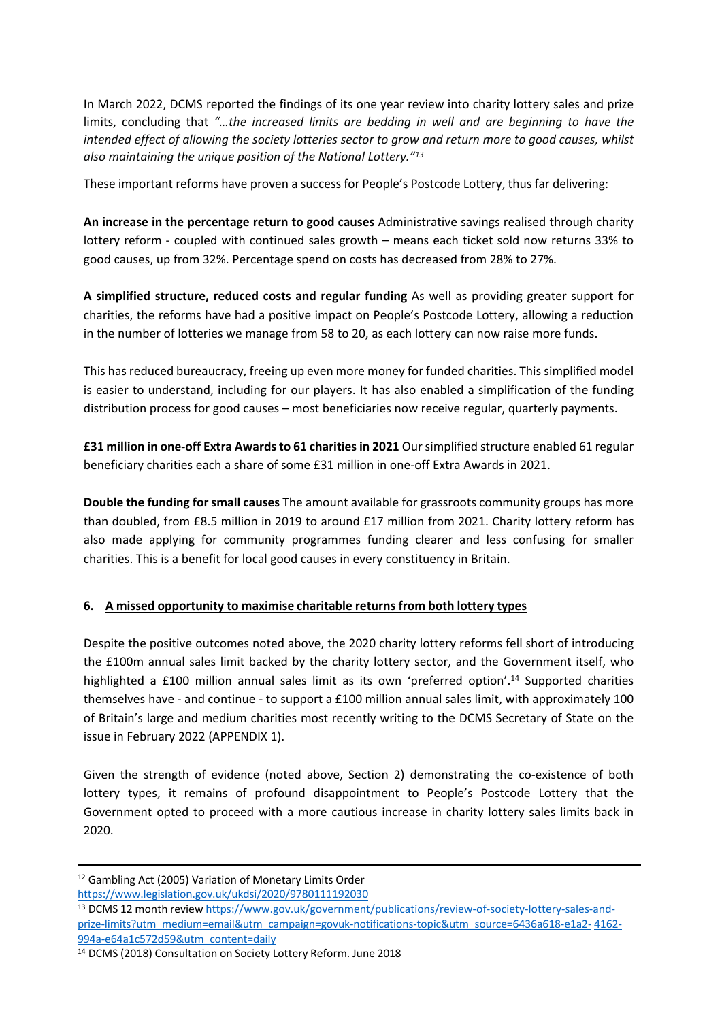In March 2022, DCMS reported the findings of its one year review into charity lottery sales and prize limits, concluding that *"…the increased limits are bedding in well and are beginning to have the intended effect of allowing the society lotteries sector to grow and return more to good causes, whilst also maintaining the unique position of the National Lottery."<sup>13</sup>*

These important reforms have proven a success for People's Postcode Lottery, thus far delivering:

**An increase in the percentage return to good causes** Administrative savings realised through charity lottery reform - coupled with continued sales growth – means each ticket sold now returns 33% to good causes, up from 32%. Percentage spend on costs has decreased from 28% to 27%.

**A simplified structure, reduced costs and regular funding** As well as providing greater support for charities, the reforms have had a positive impact on People's Postcode Lottery, allowing a reduction in the number of lotteries we manage from 58 to 20, as each lottery can now raise more funds.

This has reduced bureaucracy, freeing up even more money for funded charities. This simplified model is easier to understand, including for our players. It has also enabled a simplification of the funding distribution process for good causes – most beneficiaries now receive regular, quarterly payments.

**£31 million in one-off Extra Awardsto 61 charities in 2021** Oursimplified structure enabled 61 regular beneficiary charities each a share of some £31 million in one-off Extra Awards in 2021.

**Double the funding for small causes** The amount available for grassroots community groups has more than doubled, from £8.5 million in 2019 to around £17 million from 2021. Charity lottery reform has also made applying for community programmes funding clearer and less confusing for smaller charities. This is a benefit for local good causes in every constituency in Britain.

### **6. A missed opportunity to maximise charitable returns from both lottery types**

Despite the positive outcomes noted above, the 2020 charity lottery reforms fell short of introducing the £100m annual sales limit backed by the charity lottery sector, and the Government itself, who highlighted a £100 million annual sales limit as its own 'preferred option'.<sup>14</sup> Supported charities themselves have - and continue - to support a £100 million annual sales limit, with approximately 100 of Britain's large and medium charities most recently writing to the DCMS Secretary of State on the issue in February 2022 (APPENDIX 1).

Given the strength of evidence (noted above, Section 2) demonstrating the co-existence of both lottery types, it remains of profound disappointment to People's Postcode Lottery that the Government opted to proceed with a more cautious increase in charity lottery sales limits back in 2020.

https://www[.](https://www.legislation.gov.uk/ukdsi/2020/9780111192030)legislation[.](https://www.legislation.gov.uk/ukdsi/2020/9780111192030)go[v.uk/](https://www.legislation.gov.uk/ukdsi/2020/9780111192030)ukdsi[/2](https://www.legislation.gov.uk/ukdsi/2020/9780111192030)02[0/](https://www.legislation.gov.uk/ukdsi/2020/9780111192030)9780111192030

<sup>12</sup> Gambling Act (2005) Variation of Monetary Limits Order

<sup>13</sup> DCMS 12 month review [https://www.gov.uk/government/publications/review-of-society-lottery-sales-and](https://www.gov.uk/government/publications/review-of-society-lottery-sales-and-prize-limits?utm_medium=email&utm_campaign=govuk-notifications-topic&utm_source=6436a618-e1a2-4162-994a-e64a1c572d59&utm_content=daily)priz[e-](https://www.gov.uk/government/publications/review-of-society-lottery-sales-and-prize-limits?utm_medium=email&utm_campaign=govuk-notifications-topic&utm_source=6436a618-e1a2-4162-994a-e64a1c572d59&utm_content=daily)limit[s?](https://www.gov.uk/government/publications/review-of-society-lottery-sales-and-prize-limits?utm_medium=email&utm_campaign=govuk-notifications-topic&utm_source=6436a618-e1a2-4162-994a-e64a1c572d59&utm_content=daily)utm[\\_m](https://www.gov.uk/government/publications/review-of-society-lottery-sales-and-prize-limits?utm_medium=email&utm_campaign=govuk-notifications-topic&utm_source=6436a618-e1a2-4162-994a-e64a1c572d59&utm_content=daily)edium[=e](https://www.gov.uk/government/publications/review-of-society-lottery-sales-and-prize-limits?utm_medium=email&utm_campaign=govuk-notifications-topic&utm_source=6436a618-e1a2-4162-994a-e64a1c572d59&utm_content=daily)mail[&](https://www.gov.uk/government/publications/review-of-society-lottery-sales-and-prize-limits?utm_medium=email&utm_campaign=govuk-notifications-topic&utm_source=6436a618-e1a2-4162-994a-e64a1c572d59&utm_content=daily)utm[\\_](https://www.gov.uk/government/publications/review-of-society-lottery-sales-and-prize-limits?utm_medium=email&utm_campaign=govuk-notifications-topic&utm_source=6436a618-e1a2-4162-994a-e64a1c572d59&utm_content=daily)campaig[n=g](https://www.gov.uk/government/publications/review-of-society-lottery-sales-and-prize-limits?utm_medium=email&utm_campaign=govuk-notifications-topic&utm_source=6436a618-e1a2-4162-994a-e64a1c572d59&utm_content=daily)ovuk[-n](https://www.gov.uk/government/publications/review-of-society-lottery-sales-and-prize-limits?utm_medium=email&utm_campaign=govuk-notifications-topic&utm_source=6436a618-e1a2-4162-994a-e64a1c572d59&utm_content=daily)otification[s-t](https://www.gov.uk/government/publications/review-of-society-lottery-sales-and-prize-limits?utm_medium=email&utm_campaign=govuk-notifications-topic&utm_source=6436a618-e1a2-4162-994a-e64a1c572d59&utm_content=daily)opic&utm[\\_s](https://www.gov.uk/government/publications/review-of-society-lottery-sales-and-prize-limits?utm_medium=email&utm_campaign=govuk-notifications-topic&utm_source=6436a618-e1a2-4162-994a-e64a1c572d59&utm_content=daily)ourc[e=](https://www.gov.uk/government/publications/review-of-society-lottery-sales-and-prize-limits?utm_medium=email&utm_campaign=govuk-notifications-topic&utm_source=6436a618-e1a2-4162-994a-e64a1c572d59&utm_content=daily)643[6a6](https://www.gov.uk/government/publications/review-of-society-lottery-sales-and-prize-limits?utm_medium=email&utm_campaign=govuk-notifications-topic&utm_source=6436a618-e1a2-4162-994a-e64a1c572d59&utm_content=daily)18[-e1a2-](https://www.gov.uk/government/publications/review-of-society-lottery-sales-and-prize-limits?utm_medium=email&utm_campaign=govuk-notifications-topic&utm_source=6436a618-e1a2-4162-994a-e64a1c572d59&utm_content=daily) 416[2-](https://www.gov.uk/government/publications/review-of-society-lottery-sales-and-prize-limits?utm_medium=email&utm_campaign=govuk-notifications-topic&utm_source=6436a618-e1a2-4162-994a-e64a1c572d59&utm_content=daily) 994[a-e](https://www.gov.uk/government/publications/review-of-society-lottery-sales-and-prize-limits?utm_medium=email&utm_campaign=govuk-notifications-topic&utm_source=6436a618-e1a2-4162-994a-e64a1c572d59&utm_content=daily)6[4a1c](https://www.gov.uk/government/publications/review-of-society-lottery-sales-and-prize-limits?utm_medium=email&utm_campaign=govuk-notifications-topic&utm_source=6436a618-e1a2-4162-994a-e64a1c572d59&utm_content=daily)57[2d](https://www.gov.uk/government/publications/review-of-society-lottery-sales-and-prize-limits?utm_medium=email&utm_campaign=govuk-notifications-topic&utm_source=6436a618-e1a2-4162-994a-e64a1c572d59&utm_content=daily)5[9&u](https://www.gov.uk/government/publications/review-of-society-lottery-sales-and-prize-limits?utm_medium=email&utm_campaign=govuk-notifications-topic&utm_source=6436a618-e1a2-4162-994a-e64a1c572d59&utm_content=daily)t[m\\_](https://www.gov.uk/government/publications/review-of-society-lottery-sales-and-prize-limits?utm_medium=email&utm_campaign=govuk-notifications-topic&utm_source=6436a618-e1a2-4162-994a-e64a1c572d59&utm_content=daily)conten[t=d](https://www.gov.uk/government/publications/review-of-society-lottery-sales-and-prize-limits?utm_medium=email&utm_campaign=govuk-notifications-topic&utm_source=6436a618-e1a2-4162-994a-e64a1c572d59&utm_content=daily)aily

<sup>14</sup> DCMS (2018) Consultation on Society Lottery Reform. June 2018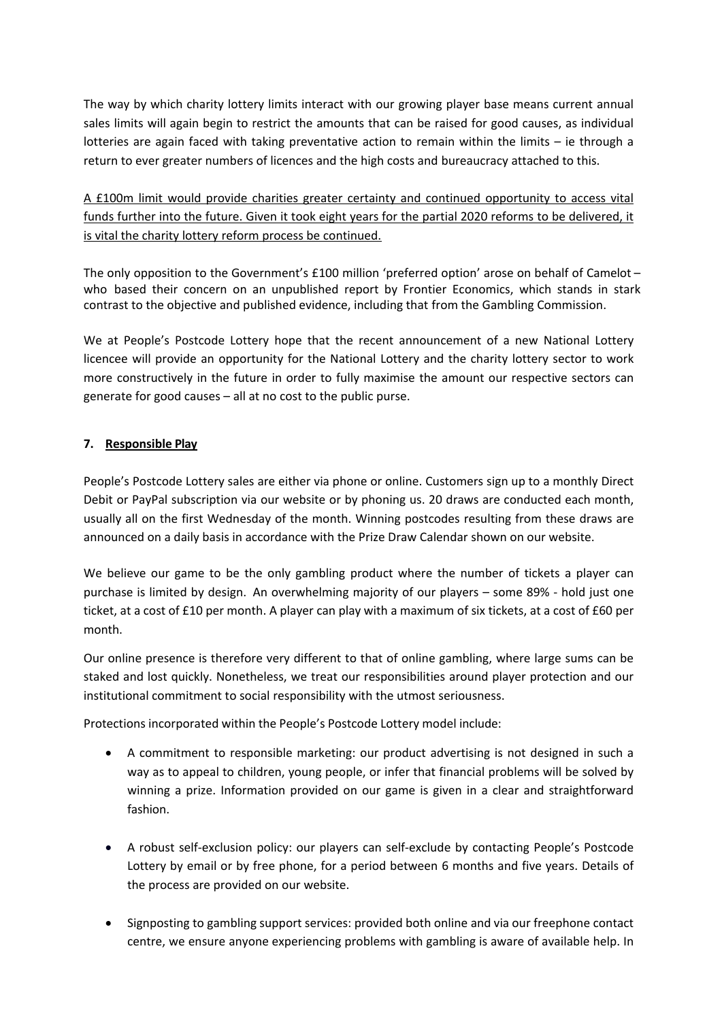The way by which charity lottery limits interact with our growing player base means current annual sales limits will again begin to restrict the amounts that can be raised for good causes, as individual lotteries are again faced with taking preventative action to remain within the limits – ie through a return to ever greater numbers of licences and the high costs and bureaucracy attached to this.

A £100m limit would provide charities greater certainty and continued opportunity to access vital funds further into the future. Given it took eight years for the partial 2020 reforms to be delivered, it is vital the charity lottery reform process be continued.

The only opposition to the Government's £100 million 'preferred option' arose on behalf of Camelot – who based their concern on an unpublished report by Frontier Economics, which stands in stark contrast to the objective and published evidence, including that from the Gambling Commission.

We at People's Postcode Lottery hope that the recent announcement of a new National Lottery licencee will provide an opportunity for the National Lottery and the charity lottery sector to work more constructively in the future in order to fully maximise the amount our respective sectors can generate for good causes – all at no cost to the public purse.

#### **7. Responsible Play**

People's Postcode Lottery sales are either via phone or online. Customers sign up to a monthly Direct Debit or PayPal subscription via our website or by phoning us. 20 draws are conducted each month, usually all on the first Wednesday of the month. Winning postcodes resulting from these draws are announced on a daily basis in accordance with the Prize Draw Calendar shown on our website.

We believe our game to be the only gambling product where the number of tickets a player can purchase is limited by design. An overwhelming majority of our players – some 89% - hold just one ticket, at a cost of £10 per month. A player can play with a maximum of six tickets, at a cost of £60 per month.

Our online presence is therefore very different to that of online gambling, where large sums can be staked and lost quickly. Nonetheless, we treat our responsibilities around player protection and our institutional commitment to social responsibility with the utmost seriousness.

Protections incorporated within the People's Postcode Lottery model include:

- A commitment to responsible marketing: our product advertising is not designed in such a way as to appeal to children, young people, or infer that financial problems will be solved by winning a prize. Information provided on our game is given in a clear and straightforward fashion.
- A robust self-exclusion policy: our players can self-exclude by contacting People's Postcode Lottery by email or by free phone, for a period between 6 months and five years. Details of the process are provided on our website.
- Signposting to gambling support services: provided both online and via our freephone contact centre, we ensure anyone experiencing problems with gambling is aware of available help. In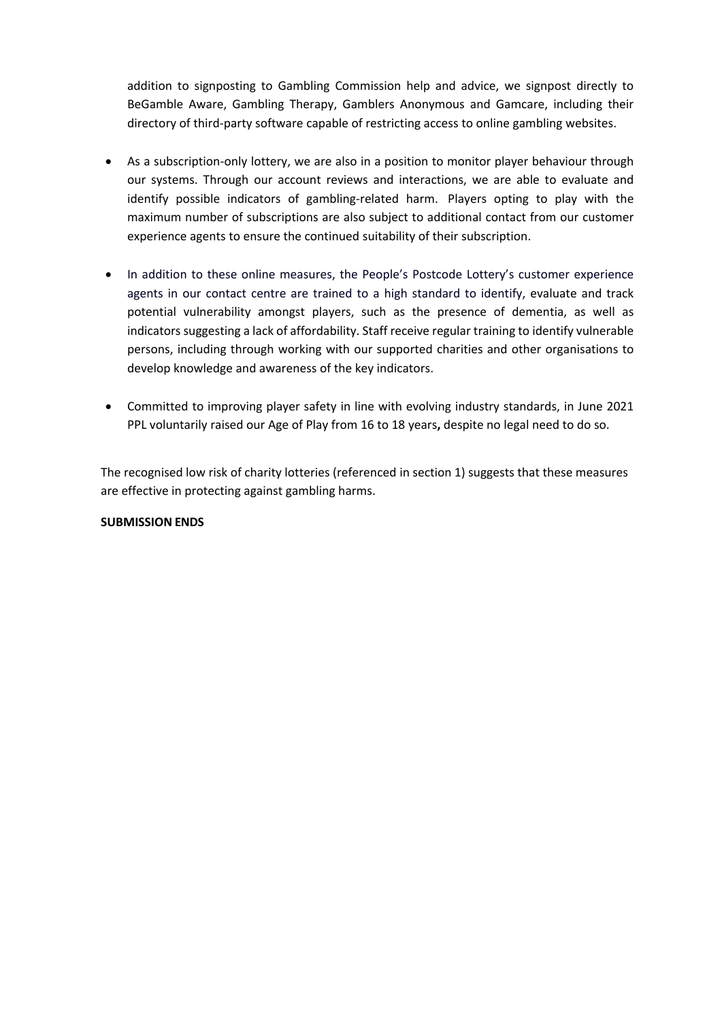addition to signposting to Gambling Commission help and advice, we signpost directly to BeGamble Aware, Gambling Therapy, Gamblers Anonymous and Gamcare, including their directory of third-party software capable of restricting access to online gambling websites.

- As a subscription-only lottery, we are also in a position to monitor player behaviour through our systems. Through our account reviews and interactions, we are able to evaluate and identify possible indicators of gambling-related harm. Players opting to play with the maximum number of subscriptions are also subject to additional contact from our customer experience agents to ensure the continued suitability of their subscription.
- In addition to these online measures, the People's Postcode Lottery's customer experience agents in our contact centre are trained to a high standard to identify, evaluate and track potential vulnerability amongst players, such as the presence of dementia, as well as indicators suggesting a lack of affordability. Staff receive regular training to identify vulnerable persons, including through working with our supported charities and other organisations to develop knowledge and awareness of the key indicators.
- Committed to improving player safety in line with evolving industry standards, in June 2021 PPL voluntarily raised our Age of Play from 16 to 18 years**,** despite no legal need to do so.

The recognised low risk of charity lotteries (referenced in section 1) suggests that these measures are effective in protecting against gambling harms.

#### **SUBMISSION ENDS**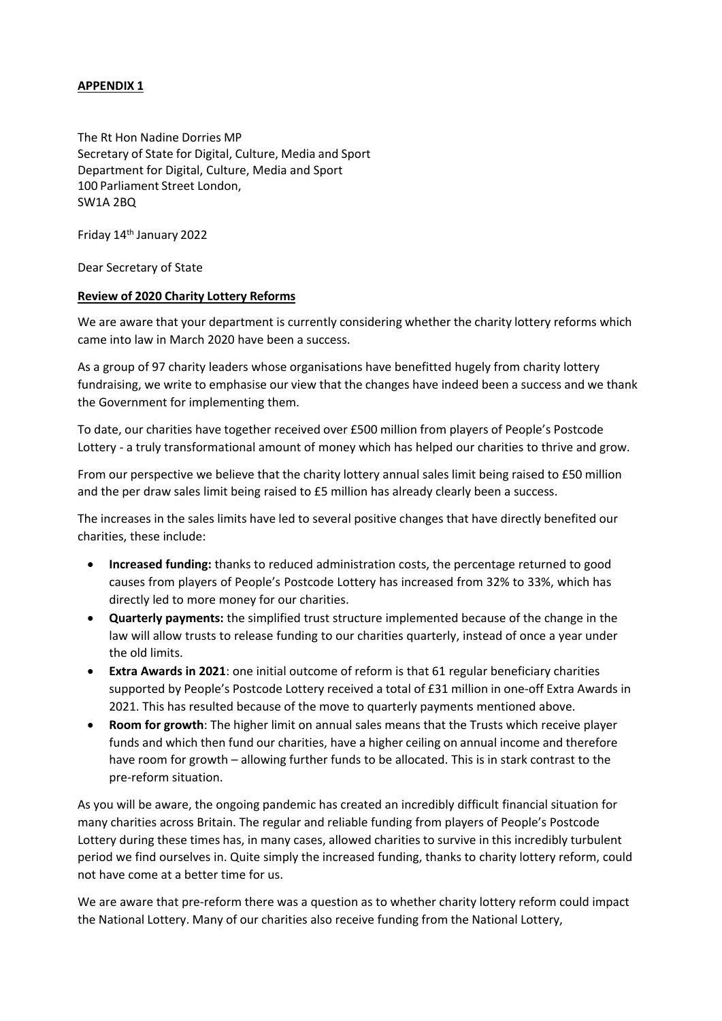#### **APPENDIX 1**

The Rt Hon Nadine Dorries MP Secretary of State for Digital, Culture, Media and Sport Department for Digital, Culture, Media and Sport 100 Parliament Street London, SW1A 2BQ

Friday 14th January 2022

Dear Secretary of State

#### **Review of 2020 Charity Lottery Reforms**

We are aware that your department is currently considering whether the charity lottery reforms which came into law in March 2020 have been a success.

As a group of 97 charity leaders whose organisations have benefitted hugely from charity lottery fundraising, we write to emphasise our view that the changes have indeed been a success and we thank the Government for implementing them.

To date, our charities have together received over £500 million from players of People's Postcode Lottery - a truly transformational amount of money which has helped our charities to thrive and grow.

From our perspective we believe that the charity lottery annual sales limit being raised to £50 million and the per draw sales limit being raised to £5 million has already clearly been a success.

The increases in the sales limits have led to several positive changes that have directly benefited our charities, these include:

- **Increased funding:** thanks to reduced administration costs, the percentage returned to good causes from players of People's Postcode Lottery has increased from 32% to 33%, which has directly led to more money for our charities.
- **Quarterly payments:** the simplified trust structure implemented because of the change in the law will allow trusts to release funding to our charities quarterly, instead of once a year under the old limits.
- **Extra Awards in 2021**: one initial outcome of reform is that 61 regular beneficiary charities supported by People's Postcode Lottery received a total of £31 million in one-off Extra Awards in 2021. This has resulted because of the move to quarterly payments mentioned above.
- **Room for growth**: The higher limit on annual sales means that the Trusts which receive player funds and which then fund our charities, have a higher ceiling on annual income and therefore have room for growth – allowing further funds to be allocated. This is in stark contrast to the pre-reform situation.

As you will be aware, the ongoing pandemic has created an incredibly difficult financial situation for many charities across Britain. The regular and reliable funding from players of People's Postcode Lottery during these times has, in many cases, allowed charities to survive in this incredibly turbulent period we find ourselves in. Quite simply the increased funding, thanks to charity lottery reform, could not have come at a better time for us.

We are aware that pre-reform there was a question as to whether charity lottery reform could impact the National Lottery. Many of our charities also receive funding from the National Lottery,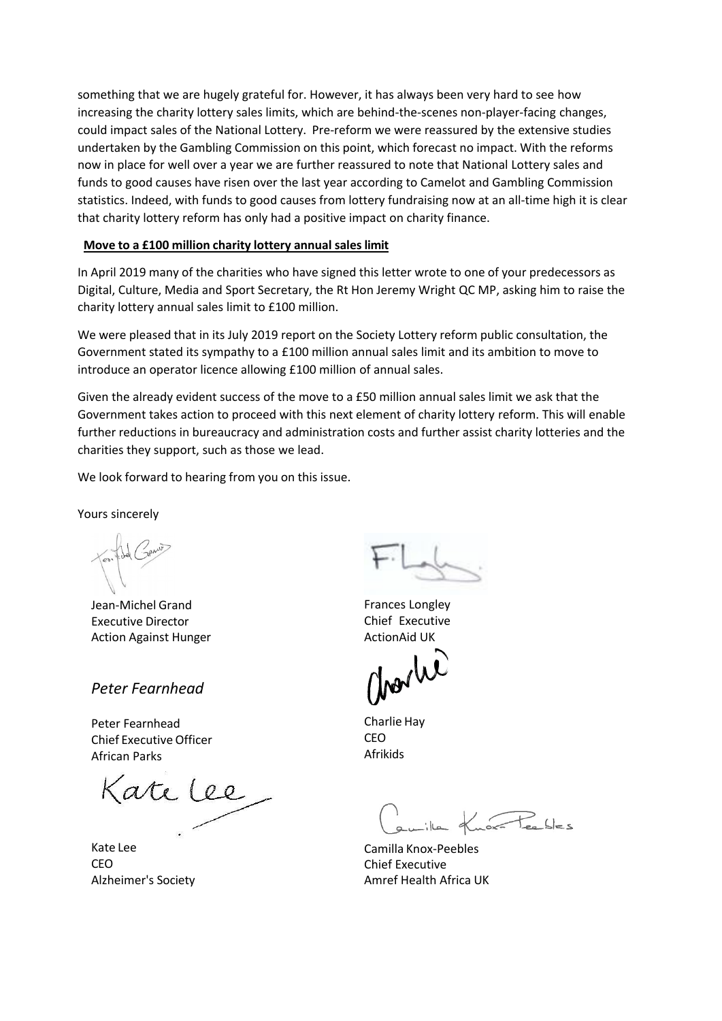something that we are hugely grateful for. However, it has always been very hard to see how increasing the charity lottery sales limits, which are behind-the-scenes non-player-facing changes, could impact sales of the National Lottery. Pre-reform we were reassured by the extensive studies undertaken by the Gambling Commission on this point, which forecast no impact. With the reforms now in place for well over a year we are further reassured to note that National Lottery sales and funds to good causes have risen over the last year according to Camelot and Gambling Commission statistics. Indeed, with funds to good causes from lottery fundraising now at an all-time high it is clear that charity lottery reform has only had a positive impact on charity finance.

#### **Move to a £100 million charity lottery annual sales limit**

In April 2019 many of the charities who have signed this letter wrote to one of your predecessors as Digital, Culture, Media and Sport Secretary, the Rt Hon Jeremy Wright QC MP, asking him to raise the charity lottery annual sales limit to £100 million.

We were pleased that in its July 2019 report on the Society Lottery reform public consultation, the Government stated its sympathy to a £100 million annual sales limit and its ambition to move to introduce an operator licence allowing £100 million of annual sales.

Given the already evident success of the move to a £50 million annual sales limit we ask that the Government takes action to proceed with this next element of charity lottery reform. This will enable further reductions in bureaucracy and administration costs and further assist charity lotteries and the charities they support, such as those we lead.

We look forward to hearing from you on this issue.

Yours sincerely

Jean-Michel Grand Executive Director Action Against Hunger

*Peter Fearnhead*

Peter Fearnhead Chief Executive Officer African Parks

Kate lee

Kate Lee CEO Alzheimer's Society

Frances Longley Chief Executive ActionAid UK

Charlie Hay CEO Afrikids

 $\sqrt{R}$ 

Camilla Knox-Peebles Chief Executive Amref Health Africa UK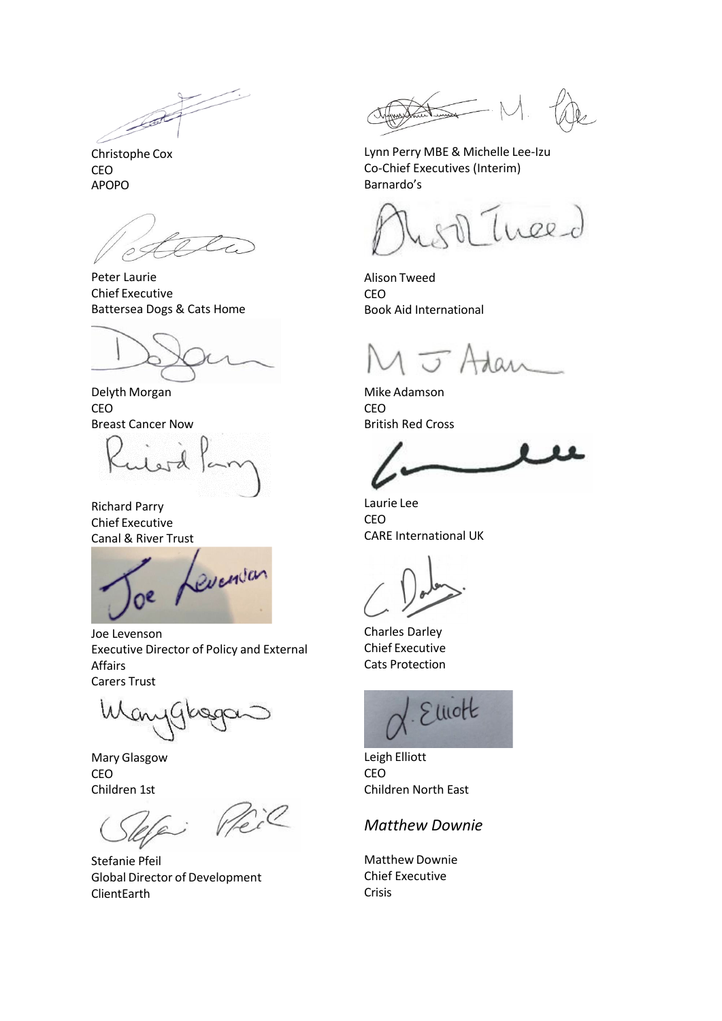Christophe Cox CEO APOPO

Peter Laurie Chief Executive Battersea Dogs & Cats Home

Delyth Morgan CEO Breast Cancer Now

Richard Parry Chief Executive Canal & River Trust

Levenson  $0<sup>e</sup>$ 

Joe Levenson Executive Director of Policy and External Affairs Carers Trust

Mary Glasgow CEO Children 1st

Peil نب

Stefanie Pfeil Global Director of Development ClientEarth

Lynn Perry MBE & Michelle Lee-Izu Co-Chief Executives (Interim) Barnardo's

Thee-d

Alison Tweed CEO Book Aid International

 $\sqrt{2}$ 

Mike Adamson CEO British Red Cross

Laurie Lee CEO CARE International UK

Charles Darley Chief Executive Cats Protection



Leigh Elliott CEO Children North East

# *Matthew Downie*

Matthew Downie Chief Executive Crisis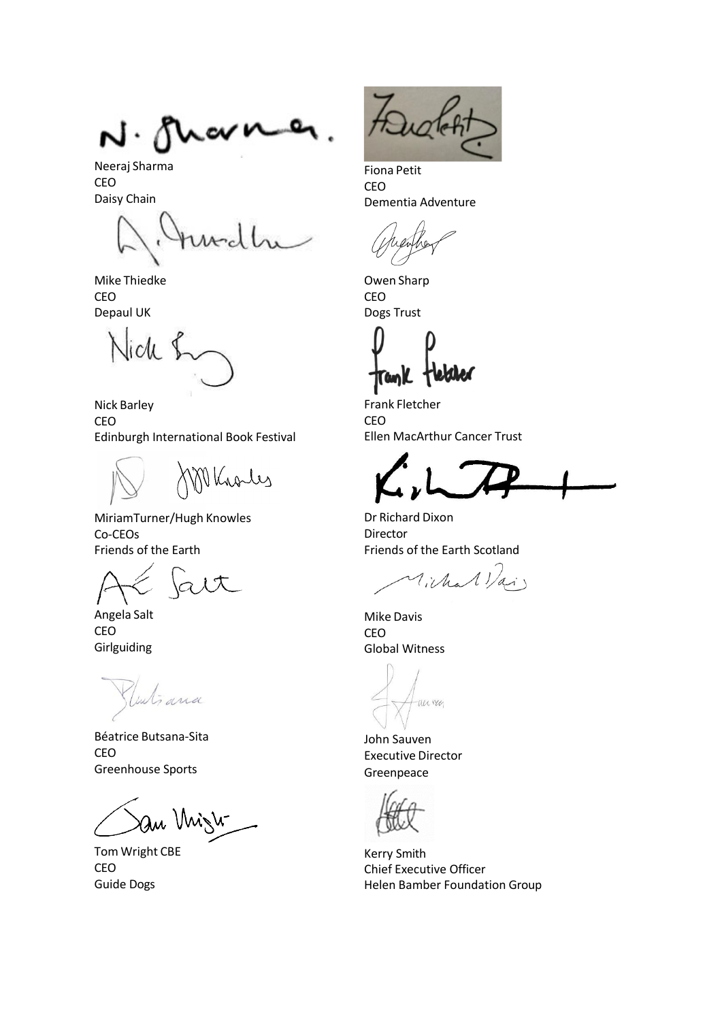N. M w

Neeraj Sharma CEO Daisy Chain

Mike Thiedke CEO Depaul UK

lich

Nick Barley CEO Edinburgh International Book Festival

Vkroles

MiriamTurner/Hugh Knowles Co-CEOs Friends of the Earth

Angela Salt CEO Girlguiding

inti ana

Béatrice Butsana-Sita CEO Greenhouse Sports

au Mizh

Tom Wright CBE CEO Guide Dogs

Fiona Petit CEO Dementia Adventure

Owen Sharp CEO Dogs Trust

runK

Frank Fletcher CEO Ellen MacArthur Cancer Trust

Dr Richard Dixon Director Friends of the Earth Scotland

Vichal Vai

Mike Davis CEO Global Witness

an ren

John Sauven Executive Director Greenpeace

Kerry Smith Chief Executive Officer Helen Bamber Foundation Group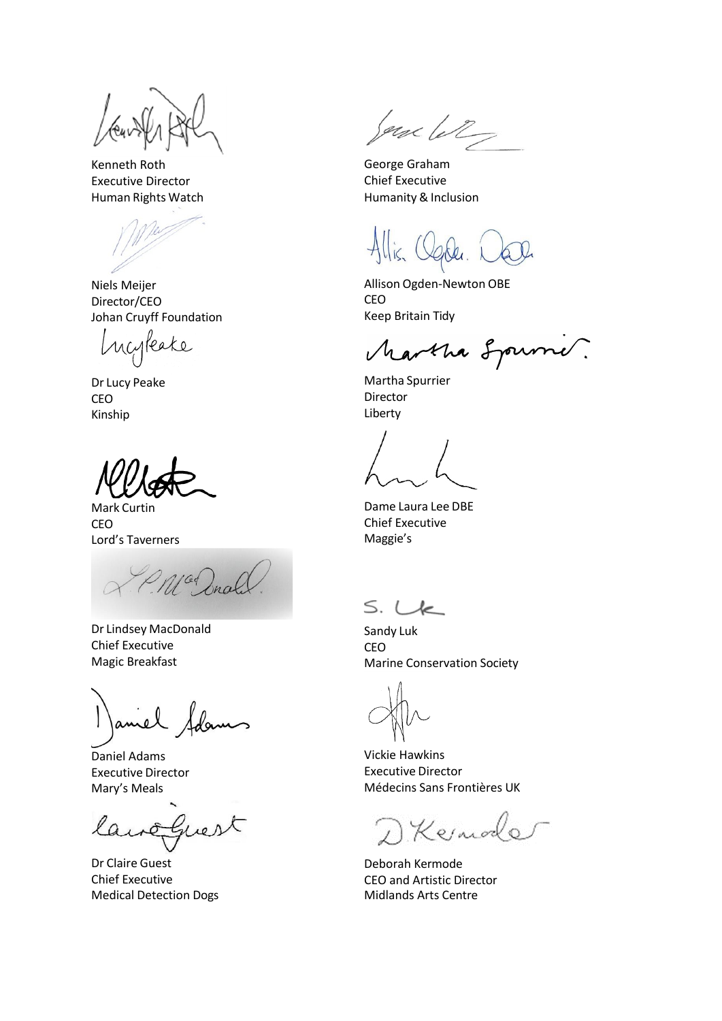Kenneth Roth Executive Director Human Rights Watch

Niels Meijer Director/CEO Johan Cruyff Foundation

Incyleake

Dr Lucy Peake CEO Kinship

Mark Curtin CEO Lord's Taverners

10 Drah

Dr Lindsey MacDonald Chief Executive Magic Breakfast

amel Sda

Daniel Adams Executive Director Mary's Meals

Guest  $Q_{1}$ 

Dr Claire Guest Chief Executive Medical Detection Dogs

Jone let

George Graham Chief Executive Humanity & Inclusion

Allison Ogden-Newton OBE CEO Keep Britain Tidy

Martha Sprink.

Martha Spurrier Director Liberty

Dame Laura Lee DBE Chief Executive Maggie's

 $S. Lk$ 

Sandy Luk CEO Marine Conservation Society

Vickie Hawkins Executive Director Médecins Sans Frontières UK

D Kernode

Deborah Kermode CEO and Artistic Director Midlands Arts Centre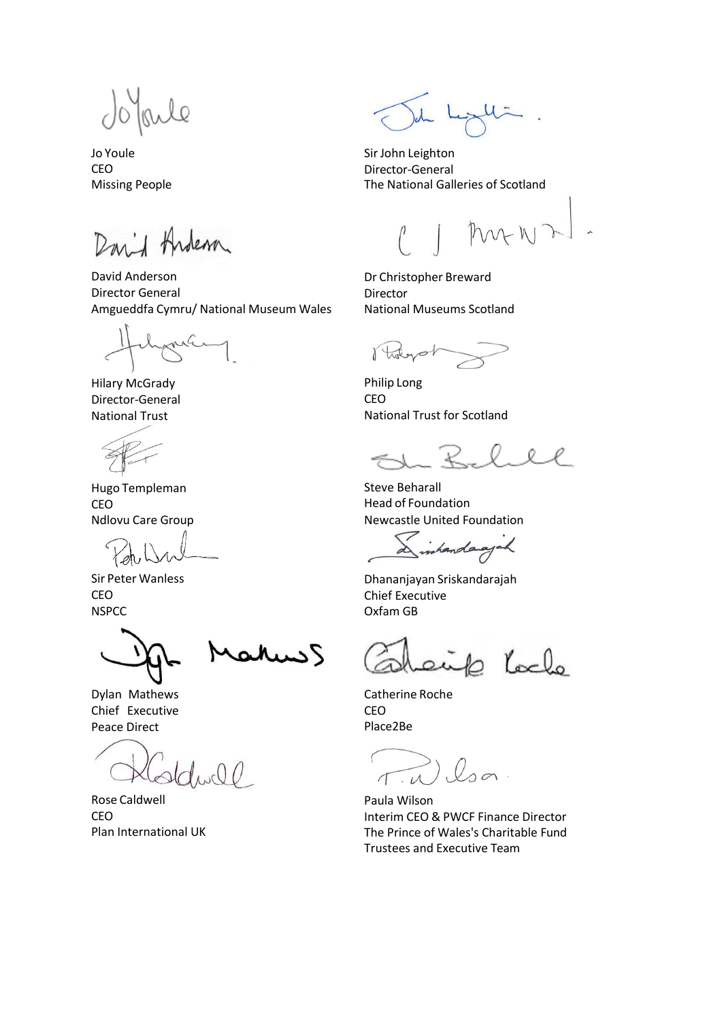Irule

Jo Youle CEO Missing People

David Andem

David Anderson Director General Amgueddfa Cymru/ National Museum Wales

na

Hilary McGrady Director-General National Trust

Hugo Templeman CEO Ndlovu Care Group

Sir Peter Wanless CEO **NSPCC** 

Dylan Mathews Chief Executive Peace Direct

 $\bigcup$ 

Rose Caldwell CEO Plan International UK

Sir John Leighton Director-General The National Galleries of Scotland

MANZ

Dr Christopher Breward Director National Museums Scotland

Robert

Philip Long CEO National Trust for Scotland

0

Steve Beharall Head of Foundation Newcastle United Foundation

Sinhandagik

Dhananjayan Sriskandarajah Chief Executive Oxfam GB

6 locke

Catherine Roche CEO Place2Be

huis S

C  $\pi w l$ sa

Paula Wilson Interim CEO & PWCF Finance Director The Prince of Wales's Charitable Fund Trustees and Executive Team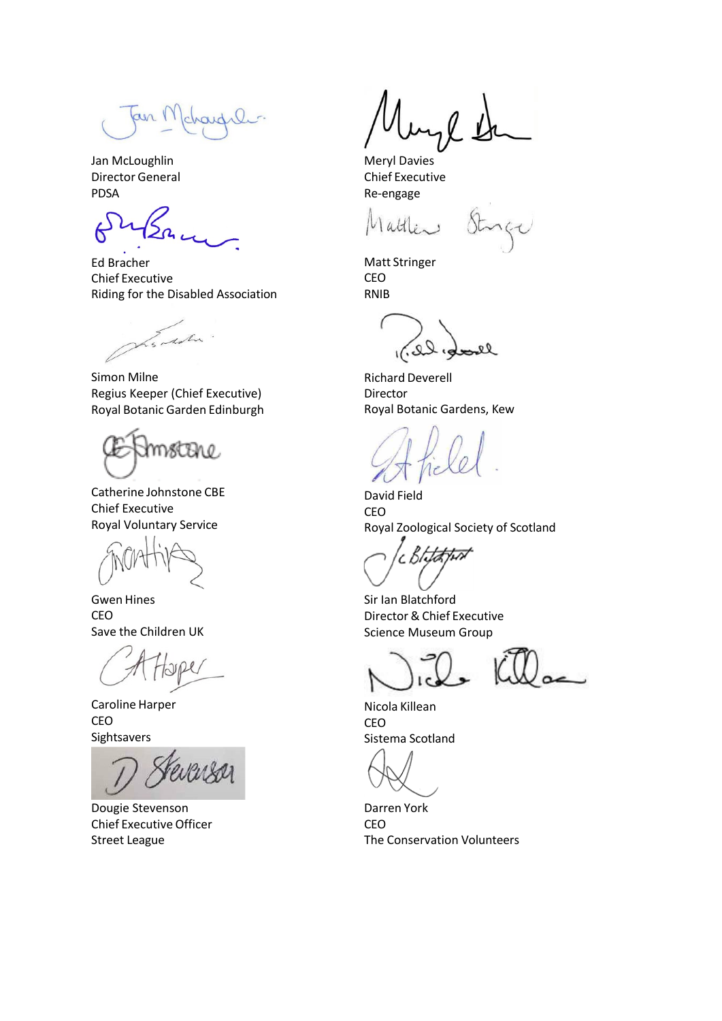fair Mchardil

Jan McLoughlin Director General PDSA

Ed Bracher Chief Executive Riding for the Disabled Association

handin

Simon Milne Regius Keeper (Chief Executive) Royal Botanic Garden Edinburgh

mmstBre.

Catherine Johnstone CBE Chief Executive Royal Voluntary Service

Gwen Hines CEO Save the Children UK

Caroline Harper CEO Sightsavers

Dougie Stevenson Chief Executive Officer Street League

 $\mu$ 

Meryl Davies Chief Executive Re-engage

Matt Stringer CEO RNIB

 $20,00$ el

Richard Deverell Director Royal Botanic Gardens, Kew

David Field CEO Royal Zoological Society of Scotland

cЬ

Sir Ian Blatchford Director & Chief Executive Science Museum Group

Nicola Killean CEO Sistema Scotland

Darren York CEO The Conservation Volunteers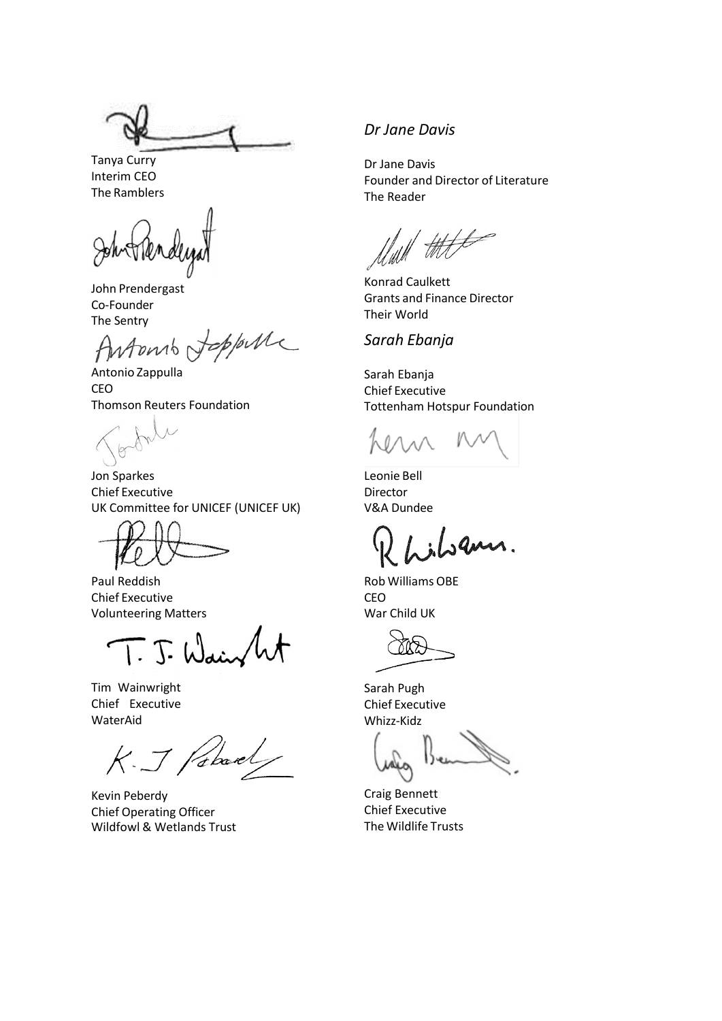Tanya Curry Interim CEO The Ramblers

John Prendergast Co-Founder

The Sentry<br>Antonio Joppelle

Antonio Zappulla CEO Thomson Reuters Foundation

Jon Sparkes Chief Executive UK Committee for UNICEF (UNICEF UK)

Paul Reddish Chief Executive Volunteering Matters

 $\overline{1}\cdot\overline{J}\cdot$  Wain

Tim Wainwright Chief Executive WaterAid

K. J Patrick

Kevin Peberdy Chief Operating Officer Wildfowl & Wetlands Trust

# *Dr Jane Davis*

Dr Jane Davis Founder and Director of Literature The Reader

Konrad Caulkett Grants and Finance Director Their World

## *Sarah Ebanja*

Sarah Ebanja Chief Executive Tottenham Hotspur Foundation

Leonie Bell Director V&A Dundee

gans.

Rob Williams OBE CEO War Child UK

Sarah Pugh Chief Executive

Craig Bennett Chief Executive The Wildlife Trusts

Whizz-Kidz